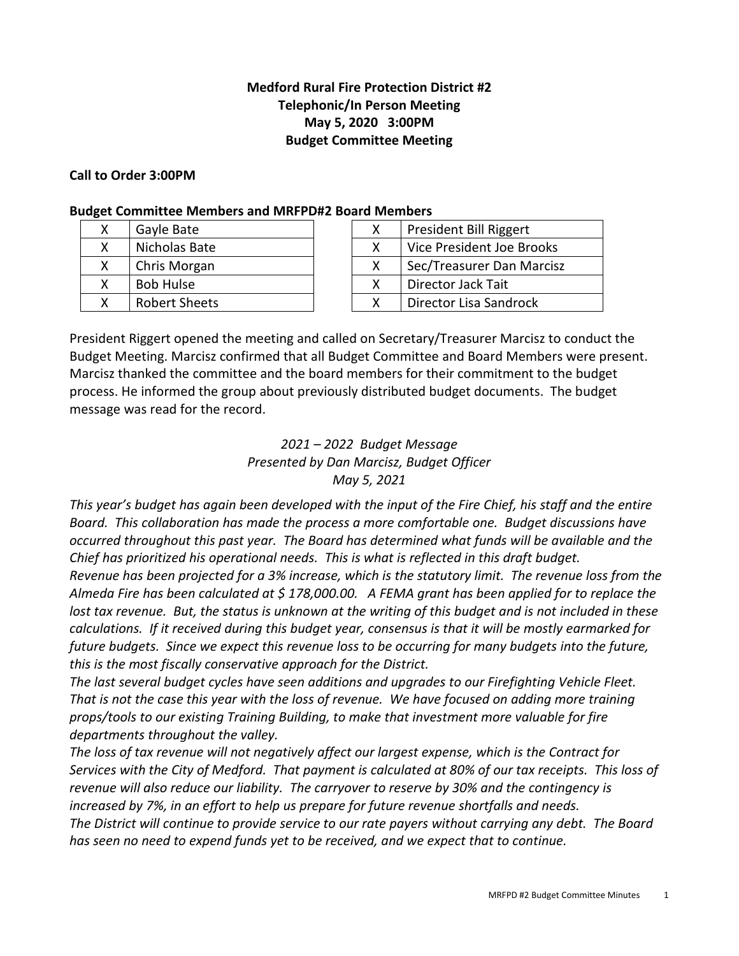## **Medford Rural Fire Protection District #2 Telephonic/In Person Meeting May 5, 2020 3:00PM Budget Committee Meeting**

### **Call to Order 3:00PM**

### **Budget Committee Members and MRFPD#2 Board Members**

|  | Gayle Bate           |  | President Bill Riggert    |
|--|----------------------|--|---------------------------|
|  | Nicholas Bate        |  | Vice President Joe Brooks |
|  | Chris Morgan         |  | Sec/Treasurer Dan Marcisz |
|  | <b>Bob Hulse</b>     |  | Director Jack Tait        |
|  | <b>Robert Sheets</b> |  | Director Lisa Sandrock    |

| x | President Bill Riggert    |
|---|---------------------------|
| x | Vice President Joe Brooks |
| x | Sec/Treasurer Dan Marcisz |
| x | Director Jack Tait        |
| x | Director Lisa Sandrock    |

President Riggert opened the meeting and called on Secretary/Treasurer Marcisz to conduct the Budget Meeting. Marcisz confirmed that all Budget Committee and Board Members were present. Marcisz thanked the committee and the board members for their commitment to the budget process. He informed the group about previously distributed budget documents. The budget message was read for the record.

### *2021 – 2022 Budget Message Presented by Dan Marcisz, Budget Officer May 5, 2021*

*This year's budget has again been developed with the input of the Fire Chief, his staff and the entire Board. This collaboration has made the process a more comfortable one. Budget discussions have occurred throughout this past year. The Board has determined what funds will be available and the Chief has prioritized his operational needs. This is what is reflected in this draft budget.* 

*Revenue has been projected for a 3% increase, which is the statutory limit. The revenue loss from the Almeda Fire has been calculated at \$ 178,000.00. A FEMA grant has been applied for to replace the lost tax revenue. But, the status is unknown at the writing of this budget and is not included in these calculations. If it received during this budget year, consensus is that it will be mostly earmarked for future budgets. Since we expect this revenue loss to be occurring for many budgets into the future, this is the most fiscally conservative approach for the District.* 

*The last several budget cycles have seen additions and upgrades to our Firefighting Vehicle Fleet. That is not the case this year with the loss of revenue. We have focused on adding more training props/tools to our existing Training Building, to make that investment more valuable for fire departments throughout the valley.* 

*The loss of tax revenue will not negatively affect our largest expense, which is the Contract for Services with the City of Medford. That payment is calculated at 80% of our tax receipts. This loss of revenue will also reduce our liability. The carryover to reserve by 30% and the contingency is increased by 7%, in an effort to help us prepare for future revenue shortfalls and needs. The District will continue to provide service to our rate payers without carrying any debt. The Board has seen no need to expend funds yet to be received, and we expect that to continue.*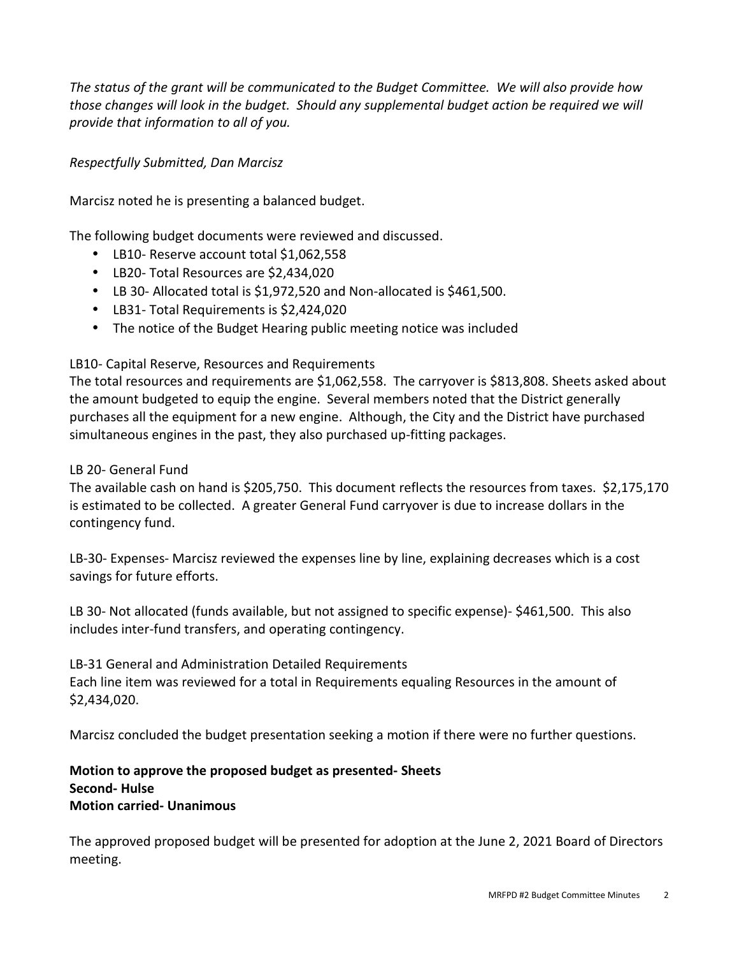*The status of the grant will be communicated to the Budget Committee. We will also provide how those changes will look in the budget. Should any supplemental budget action be required we will provide that information to all of you.* 

# *Respectfully Submitted, Dan Marcisz*

Marcisz noted he is presenting a balanced budget.

The following budget documents were reviewed and discussed.

- LB10- Reserve account total \$1,062,558
- LB20- Total Resources are \$2,434,020
- LB 30- Allocated total is \$1,972,520 and Non-allocated is \$461,500.
- LB31- Total Requirements is \$2,424,020
- The notice of the Budget Hearing public meeting notice was included

# LB10- Capital Reserve, Resources and Requirements

The total resources and requirements are \$1,062,558. The carryover is \$813,808. Sheets asked about the amount budgeted to equip the engine. Several members noted that the District generally purchases all the equipment for a new engine. Although, the City and the District have purchased simultaneous engines in the past, they also purchased up-fitting packages.

## LB 20- General Fund

The available cash on hand is \$205,750. This document reflects the resources from taxes. \$2,175,170 is estimated to be collected. A greater General Fund carryover is due to increase dollars in the contingency fund.

LB-30- Expenses- Marcisz reviewed the expenses line by line, explaining decreases which is a cost savings for future efforts.

LB 30- Not allocated (funds available, but not assigned to specific expense)- \$461,500. This also includes inter-fund transfers, and operating contingency.

LB-31 General and Administration Detailed Requirements Each line item was reviewed for a total in Requirements equaling Resources in the amount of \$2,434,020.

Marcisz concluded the budget presentation seeking a motion if there were no further questions.

# **Motion to approve the proposed budget as presented- Sheets Second- Hulse Motion carried- Unanimous**

The approved proposed budget will be presented for adoption at the June 2, 2021 Board of Directors meeting.